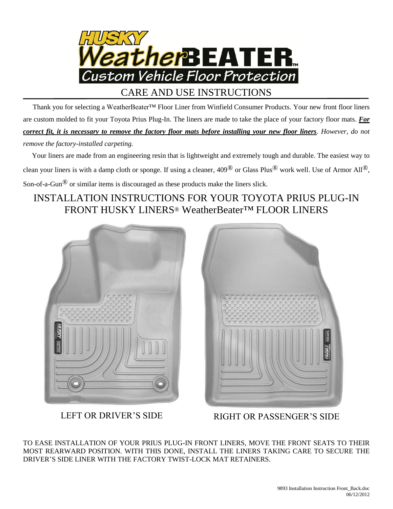

CARE AND USE INSTRUCTIONS

 Thank you for selecting a WeatherBeater™ Floor Liner from Winfield Consumer Products. Your new front floor liners are custom molded to fit your Toyota Prius Plug-In. The liners are made to take the place of your factory floor mats. *For correct fit, it is necessary to remove the factory floor mats before installing your new floor liners*. *However, do not remove the factory-installed carpeting.*

 Your liners are made from an engineering resin that is lightweight and extremely tough and durable. The easiest way to clean your liners is with a damp cloth or sponge. If using a cleaner, 409® or Glass Plus® work well. Use of Armor All®, Son-of-a-Gun® or similar items is discouraged as these products make the liners slick.

## INSTALLATION INSTRUCTIONS FOR YOUR TOYOTA PRIUS PLUG-IN FRONT HUSKY LINERS® WeatherBeater™ FLOOR LINERS





LEFT OR DRIVER'S SIDE RIGHT OR PASSENGER'S SIDE

TO EASE INSTALLATION OF YOUR PRIUS PLUG-IN FRONT LINERS, MOVE THE FRONT SEATS TO THEIR MOST REARWARD POSITION. WITH THIS DONE, INSTALL THE LINERS TAKING CARE TO SECURE THE DRIVER'S SIDE LINER WITH THE FACTORY TWIST-LOCK MAT RETAINERS.